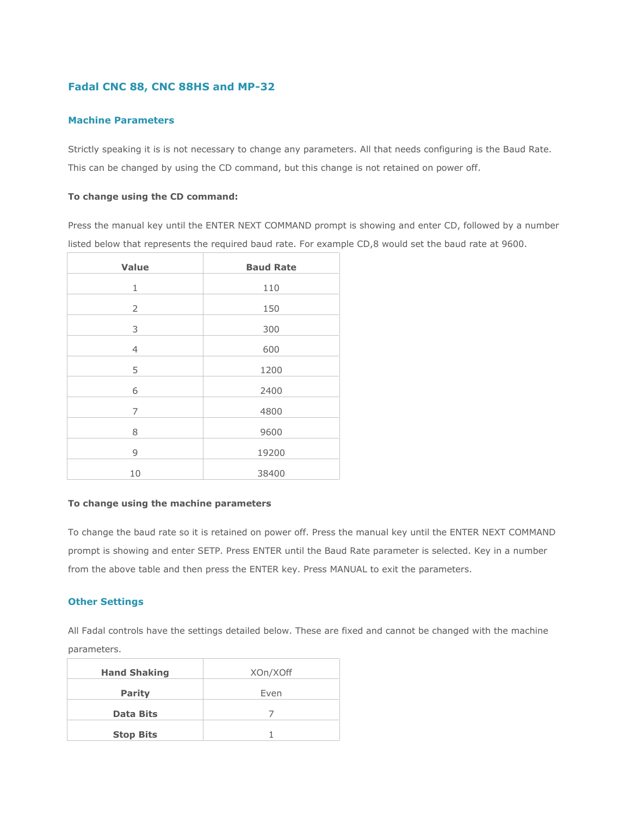# **Fadal CNC 88, CNC 88HS and MP-32**

## **Machine Parameters**

Strictly speaking it is is not necessary to change any parameters. All that needs configuring is the Baud Rate. This can be changed by using the CD command, but this change is not retained on power off.

## **To change using the CD command:**

Press the manual key until the ENTER NEXT COMMAND prompt is showing and enter CD, followed by a number listed below that represents the required baud rate. For example CD,8 would set the baud rate at 9600.

| Value          | <b>Baud Rate</b> |
|----------------|------------------|
| 1              | 110              |
| $\overline{2}$ | 150              |
| 3              | 300              |
| $\overline{4}$ | 600              |
| 5              | 1200             |
| 6              | 2400             |
| 7              | 4800             |
| 8              | 9600             |
| 9              | 19200            |
| 10             | 38400            |

#### **To change using the machine parameters**

To change the baud rate so it is retained on power off. Press the manual key until the ENTER NEXT COMMAND prompt is showing and enter SETP. Press ENTER until the Baud Rate parameter is selected. Key in a number from the above table and then press the ENTER key. Press MANUAL to exit the parameters.

## **Other Settings**

All Fadal controls have the settings detailed below. These are fixed and cannot be changed with the machine parameters.

| <b>Hand Shaking</b> | XOn/XOff |
|---------------------|----------|
| <b>Parity</b>       | Even     |
| <b>Data Bits</b>    |          |
| <b>Stop Bits</b>    |          |